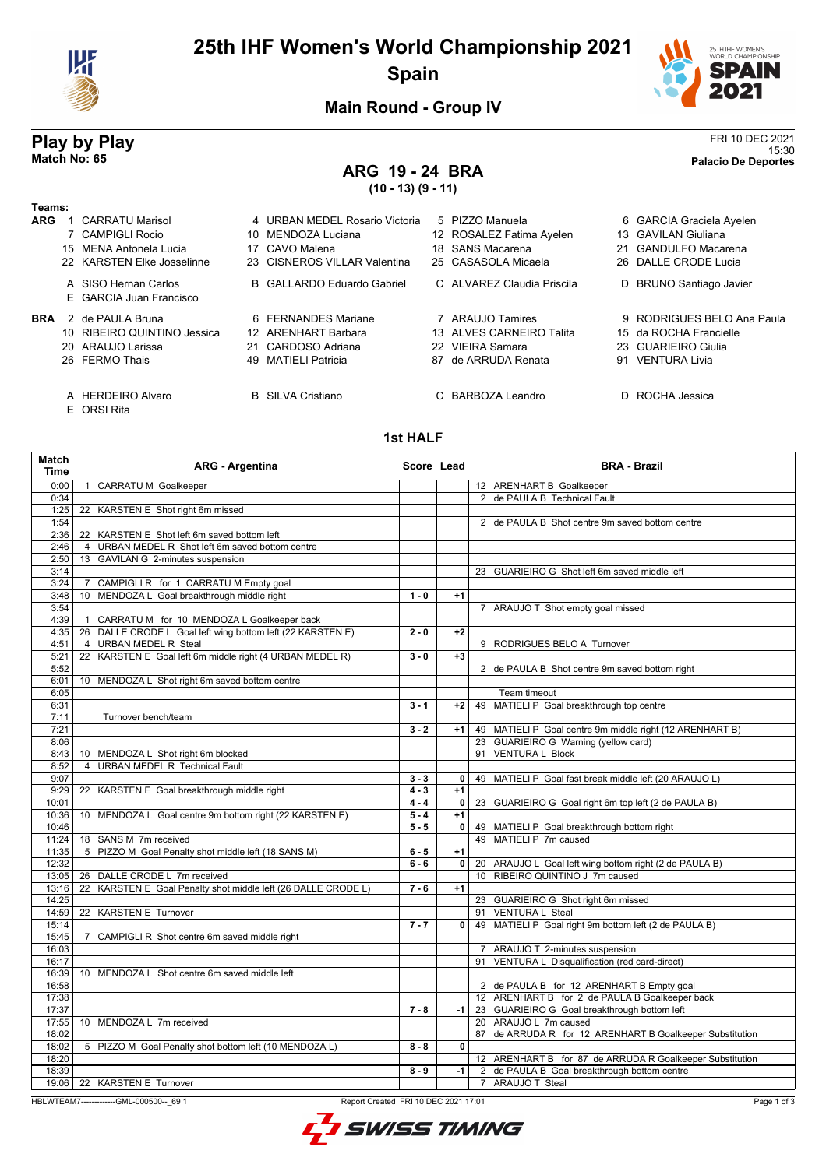

# **25th IHF Women's World Championship 2021 Spain**



**Main Round - Group IV**

### **Play by Play** FRI 10 DEC 2021 15:30 **Match No: 65 Palacio De Deportes**

# **ARG 19 - 24 BRA**

**(10 - 13) (9 - 11)**

| Teams:     |                                                 |                                |                            |   |                            |
|------------|-------------------------------------------------|--------------------------------|----------------------------|---|----------------------------|
| <b>ARG</b> | CARRATU Marisol                                 | 4 URBAN MEDEL Rosario Victoria | 5 PIZZO Manuela            |   | 6 GARCIA Graciela Ayelen   |
|            | 7 CAMPIGLI Rocio                                | 10 MENDOZA Luciana             | 12 ROSALEZ Fatima Ayelen   |   | 13 GAVILAN Giuliana        |
|            | 15 MENA Antonela Lucia                          | 17 CAVO Malena                 | 18 SANS Macarena           |   | 21 GANDULFO Macarena       |
|            | 22 KARSTEN Elke Josselinne                      | 23 CISNEROS VILLAR Valentina   | 25 CASASOLA Micaela        |   | 26 DALLE CRODE Lucia       |
|            | A SISO Hernan Carlos<br>E GARCIA Juan Francisco | B GALLARDO Eduardo Gabriel     | C ALVAREZ Claudia Priscila |   | D BRUNO Santiago Javier    |
| <b>BRA</b> | 2 de PAULA Bruna                                | 6 FERNANDES Mariane            | 7 ARAUJO Tamires           |   | 9 RODRIGUES BELO Ana Paula |
|            | 10 RIBEIRO QUINTINO Jessica                     | 12 ARENHART Barbara            | 13 ALVES CARNEIRO Talita   |   | 15 da ROCHA Francielle     |
|            | 20 ARAUJO Larissa                               | 21 CARDOSO Adriana             | 22 VIEIRA Samara           |   | 23 GUARIEIRO Giulia        |
|            | 26 FERMO Thais                                  | 49 MATIELI Patricia            | 87 de ARRUDA Renata        |   | 91 VENTURA Livia           |
|            | A HERDEIRO Alvaro                               | <b>B</b> SILVA Cristiano       | C BARBOZA Leandro          | D | ROCHA Jessica              |

E ORSI Rita

**1st HALF**

| <b>Match</b><br><b>Time</b> | <b>ARG - Argentina</b>                                           | Score Lead         |              | <b>BRA - Brazil</b>                                      |
|-----------------------------|------------------------------------------------------------------|--------------------|--------------|----------------------------------------------------------|
| 0:00                        | <b>CARRATU M Goalkeeper</b><br>$\overline{1}$                    |                    |              | 12 ARENHART B Goalkeeper                                 |
| 0:34                        |                                                                  |                    |              | 2 de PAULA B Technical Fault                             |
| 1:25                        | KARSTEN E Shot right 6m missed<br>22                             |                    |              |                                                          |
| 1:54                        |                                                                  |                    |              | 2 de PAULA B Shot centre 9m saved bottom centre          |
| 2:36                        | KARSTEN E Shot left 6m saved bottom left<br>22                   |                    |              |                                                          |
| 2:46                        | URBAN MEDEL R Shot left 6m saved bottom centre<br>$\overline{4}$ |                    |              |                                                          |
| 2:50                        | 13 GAVILAN G 2-minutes suspension                                |                    |              |                                                          |
| 3:14                        |                                                                  |                    |              | 23 GUARIEIRO G Shot left 6m saved middle left            |
| 3:24                        | CAMPIGLI R for 1 CARRATU M Empty goal<br>$\overline{7}$          |                    |              |                                                          |
| 3:48                        | MENDOZA L Goal breakthrough middle right<br>10                   | $1 - 0$            | $+1$         |                                                          |
| 3:54                        |                                                                  |                    |              | 7 ARAUJO T Shot empty goal missed                        |
| 4:39                        | CARRATU M for 10 MENDOZA L Goalkeeper back<br>$\mathbf{1}$       |                    |              |                                                          |
| 4:35                        | 26 DALLE CRODE L Goal left wing bottom left (22 KARSTEN E)       | $2 - 0$            | $+2$         |                                                          |
| 4:51                        | 4 URBAN MEDEL R Steal                                            |                    |              | 9 RODRIGUES BELO A Turnover                              |
| 5:21                        | 22 KARSTEN E Goal left 6m middle right (4 URBAN MEDEL R)         | $3 - 0$            | $+3$         |                                                          |
| 5:52                        |                                                                  |                    |              | 2 de PAULA B Shot centre 9m saved bottom right           |
| 6:01                        | 10 MENDOZA L Shot right 6m saved bottom centre                   |                    |              |                                                          |
| 6:05                        |                                                                  |                    |              | Team timeout                                             |
| 6:31                        |                                                                  | $3 - 1$            | $+2$         | 49 MATIELI P Goal breakthrough top centre                |
| 7:11                        | Turnover bench/team                                              |                    |              |                                                          |
| 7:21                        |                                                                  | $3 - 2$            | $+1$         | 49 MATIELI P Goal centre 9m middle right (12 ARENHART B) |
| 8:06                        |                                                                  |                    |              | 23 GUARIEIRO G Warning (yellow card)                     |
| 8:43                        | 10 MENDOZA L Shot right 6m blocked                               |                    |              | 91 VENTURA L Block                                       |
| 8:52                        | <b>URBAN MEDEL R Technical Fault</b><br>4                        |                    |              |                                                          |
| 9:07                        |                                                                  | $3 - 3$            | $\mathbf{0}$ | 49 MATIELI P Goal fast break middle left (20 ARAUJO L)   |
| 9:29                        | 22 KARSTEN E Goal breakthrough middle right                      | $4 - 3$            | $+1$         |                                                          |
| 10:01                       |                                                                  | $4 - 4$            | $\mathbf{0}$ | 23 GUARIEIRO G Goal right 6m top left (2 de PAULA B)     |
| 10:36                       | 10 MENDOZA L Goal centre 9m bottom right (22 KARSTEN E)          | $\overline{5} - 4$ | $+1$         |                                                          |
| 10:46                       |                                                                  | $5 - 5$            | $\mathbf 0$  | 49 MATIELI P Goal breakthrough bottom right              |
| 11:24                       | 18 SANS M 7m received                                            |                    |              | 49 MATIELI P 7m caused                                   |
| 11:35                       | 5 PIZZO M Goal Penalty shot middle left (18 SANS M)              | $6 - 5$            | $+1$         |                                                          |
| 12:32                       |                                                                  | $6 - 6$            | $\mathbf{0}$ | 20 ARAUJO L Goal left wing bottom right (2 de PAULA B)   |
| 13:05                       | 26 DALLE CRODE L 7m received                                     |                    |              | 10 RIBEIRO QUINTINO J 7m caused                          |
| 13:16                       | 22 KARSTEN E Goal Penalty shot middle left (26 DALLE CRODE L)    | $7 - 6$            | $+1$         |                                                          |
| 14:25                       |                                                                  |                    |              | 23 GUARIEIRO G Shot right 6m missed                      |
| 14:59                       | 22 KARSTEN E Turnover                                            |                    |              | 91 VENTURA L Steal                                       |
| 15:14                       |                                                                  | $7 - 7$            | 0            | 49 MATIELI P Goal right 9m bottom left (2 de PAULA B)    |
| 15:45                       | CAMPIGLI R Shot centre 6m saved middle right<br>7                |                    |              |                                                          |
| 16:03                       |                                                                  |                    |              | 7 ARAUJO T 2-minutes suspension                          |
| 16:17                       |                                                                  |                    |              | 91 VENTURA L Disqualification (red card-direct)          |
| 16:39                       | 10 MENDOZA L Shot centre 6m saved middle left                    |                    |              |                                                          |
| 16:58                       |                                                                  |                    |              | 2 de PAULA B for 12 ARENHART B Empty goal                |
| 17:38                       |                                                                  |                    |              | 12 ARENHART B for 2 de PAULA B Goalkeeper back           |
| 17:37                       |                                                                  | $7 - 8$            | -1           | 23 GUARIEIRO G Goal breakthrough bottom left             |
| 17:55                       | 10 MENDOZA L 7m received                                         |                    |              | 20 ARAUJO L 7m caused                                    |
| 18:02                       |                                                                  |                    |              | 87 de ARRUDA R for 12 ARENHART B Goalkeeper Substitution |
| 18:02                       | 5 PIZZO M Goal Penalty shot bottom left (10 MENDOZA L)           | $8 - 8$            | $\mathbf{0}$ |                                                          |
| 18:20                       |                                                                  |                    |              | 12 ARENHART B for 87 de ARRUDA R Goalkeeper Substitution |
| 18:39                       |                                                                  | $8 - 9$            | -1           | 2 de PAULA B Goal breakthrough bottom centre             |
| 19:06                       | 22 KARSTEN E Turnover                                            |                    |              | 7 ARAUJO T Steal                                         |

HBLWTEAM7--------------GML-000500--\_69 1 Report Created FRI 10 DEC 2021 17:01

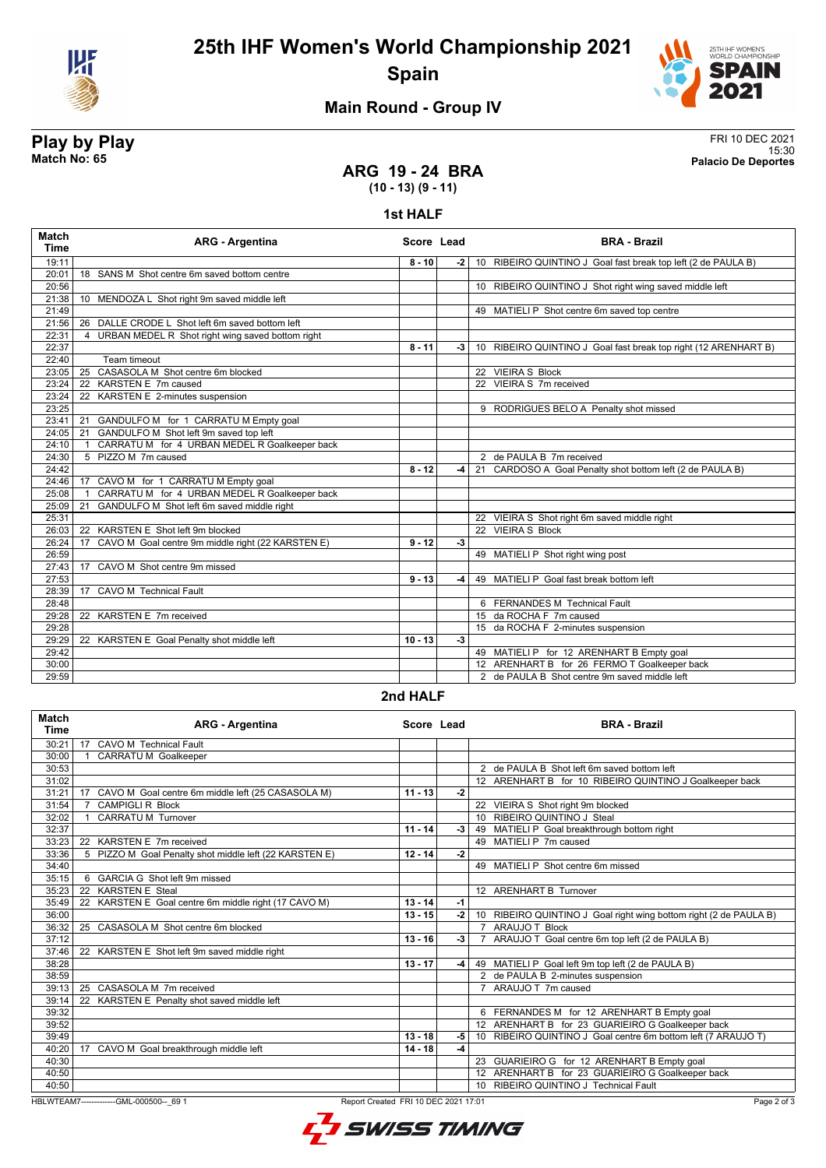



# **Main Round - Group IV**

**Play by Play**<br>Match No: 65<br>Palacio De Deportes 15:30 **Match No: 65 Palacio De Deportes**

### **ARG 19 - 24 BRA (10 - 13) (9 - 11)**

#### **1st HALF**

| <b>Match</b><br><b>Time</b> | <b>ARG - Argentina</b>                                             | Score Lead |      | <b>BRA - Brazil</b>                                             |
|-----------------------------|--------------------------------------------------------------------|------------|------|-----------------------------------------------------------------|
| 19:11                       |                                                                    | $8 - 10$   | -2 I | 10 RIBEIRO QUINTINO J Goal fast break top left (2 de PAULA B)   |
| 20:01                       | 18 SANS M Shot centre 6m saved bottom centre                       |            |      |                                                                 |
| 20:56                       |                                                                    |            |      | 10 RIBEIRO QUINTINO J Shot right wing saved middle left         |
| 21:38                       | 10 MENDOZA L Shot right 9m saved middle left                       |            |      |                                                                 |
| 21:49                       |                                                                    |            |      | 49 MATIELI P Shot centre 6m saved top centre                    |
| 21:56                       | 26 DALLE CRODE L Shot left 6m saved bottom left                    |            |      |                                                                 |
| 22:31                       | URBAN MEDEL R Shot right wing saved bottom right<br>$\overline{4}$ |            |      |                                                                 |
| 22:37                       |                                                                    | $8 - 11$   | -3 I | 10 RIBEIRO QUINTINO J Goal fast break top right (12 ARENHART B) |
| 22:40                       | <b>Team timeout</b>                                                |            |      |                                                                 |
| 23:05                       | 25 CASASOLA M Shot centre 6m blocked                               |            |      | 22 VIEIRA S Block                                               |
| 23:24                       | 22 KARSTEN E 7m caused                                             |            |      | 22 VIEIRA S 7m received                                         |
| 23:24                       | 22 KARSTEN E 2-minutes suspension                                  |            |      |                                                                 |
| 23:25                       |                                                                    |            |      | 9 RODRIGUES BELO A Penalty shot missed                          |
| 23:41                       | 21<br>GANDULFO M for 1 CARRATU M Empty goal                        |            |      |                                                                 |
| 24:05                       | GANDULFO M Shot left 9m saved top left<br>21                       |            |      |                                                                 |
| 24:10                       | CARRATU M for 4 URBAN MEDEL R Goalkeeper back                      |            |      |                                                                 |
| 24:30                       | 5 PIZZO M 7m caused                                                |            |      | 2 de PAULA B 7m received                                        |
| 24:42                       |                                                                    | $8 - 12$   | -4   | 21 CARDOSO A Goal Penalty shot bottom left (2 de PAULA B)       |
| 24:46                       | 17 CAVO M for 1 CARRATU M Empty goal                               |            |      |                                                                 |
| 25:08                       | CARRATU M for 4 URBAN MEDEL R Goalkeeper back                      |            |      |                                                                 |
| 25:09                       | GANDULFO M Shot left 6m saved middle right<br>21                   |            |      |                                                                 |
| 25:31                       |                                                                    |            |      | 22 VIEIRA S Shot right 6m saved middle right                    |
| 26:03                       | KARSTEN E Shot left 9m blocked<br>22                               |            |      | 22 VIEIRA S Block                                               |
| 26:24                       | 17<br>CAVO M Goal centre 9m middle right (22 KARSTEN E)            | $9 - 12$   | $-3$ |                                                                 |
| 26:59                       |                                                                    |            |      | 49 MATIELI P Shot right wing post                               |
| 27:43                       | CAVO M Shot centre 9m missed<br>17                                 |            |      |                                                                 |
| 27:53                       |                                                                    | $9 - 13$   | -4   | 49 MATIELI P Goal fast break bottom left                        |
| 28:39                       | <b>CAVO M Technical Fault</b><br>17                                |            |      |                                                                 |
| 28:48                       |                                                                    |            |      | 6 FERNANDES M Technical Fault                                   |
| 29:28                       | 22 KARSTEN E 7m received                                           |            |      | 15 da ROCHA F 7m caused                                         |
| 29:28                       |                                                                    |            |      | 15 da ROCHA F 2-minutes suspension                              |
| 29:29                       | 22 KARSTEN E Goal Penalty shot middle left                         | $10 - 13$  | $-3$ |                                                                 |
| 29:42                       |                                                                    |            |      | 49 MATIELI P for 12 ARENHART B Empty goal                       |
| 30:00                       |                                                                    |            |      | 12 ARENHART B for 26 FERMO T Goalkeeper back                    |
| 29:59                       |                                                                    |            |      | 2 de PAULA B Shot centre 9m saved middle left                   |

#### **2nd HALF**

| Match<br><b>Time</b>                                                                           | <b>ARG - Argentina</b>                                 | Score Lead |      | <b>BRA - Brazil</b>                                               |
|------------------------------------------------------------------------------------------------|--------------------------------------------------------|------------|------|-------------------------------------------------------------------|
| 30:21                                                                                          | 17<br><b>CAVO M Technical Fault</b>                    |            |      |                                                                   |
| 30:00                                                                                          | <b>CARRATUM</b> Goalkeeper                             |            |      |                                                                   |
| 30:53                                                                                          |                                                        |            |      | 2 de PAULA B Shot left 6m saved bottom left                       |
| 31:02                                                                                          |                                                        |            |      | 12 ARENHART B for 10 RIBEIRO QUINTINO J Goalkeeper back           |
| 31:21                                                                                          | 17 CAVO M Goal centre 6m middle left (25 CASASOLA M)   | $11 - 13$  | $-2$ |                                                                   |
| 31:54                                                                                          | <b>CAMPIGLI R Block</b><br>$\overline{7}$              |            |      | 22 VIEIRA S Shot right 9m blocked                                 |
| 32:02                                                                                          | <b>CARRATU M Turnover</b>                              |            |      | 10 RIBEIRO QUINTINO J Steal                                       |
| 32:37                                                                                          |                                                        | $11 - 14$  | -3   | 49 MATIELI P Goal breakthrough bottom right                       |
| 33:23                                                                                          | 22 KARSTEN E 7m received                               |            |      | 49 MATIELI P 7m caused                                            |
| 33:36                                                                                          | 5 PIZZO M Goal Penalty shot middle left (22 KARSTEN E) | $12 - 14$  | $-2$ |                                                                   |
| 34:40                                                                                          |                                                        |            |      | 49 MATIELI P Shot centre 6m missed                                |
| 35:15                                                                                          | 6 GARCIA G Shot left 9m missed                         |            |      |                                                                   |
| 35:23                                                                                          | 22 KARSTEN E Steal                                     |            |      | 12 ARENHART B Turnover                                            |
| 35:49                                                                                          | 22 KARSTEN E Goal centre 6m middle right (17 CAVO M)   | $13 - 14$  | $-1$ |                                                                   |
| 36:00                                                                                          |                                                        | $13 - 15$  | $-2$ | 10 RIBEIRO QUINTINO J Goal right wing bottom right (2 de PAULA B) |
| 36:32                                                                                          | 25 CASASOLA M Shot centre 6m blocked                   |            |      | 7 ARAUJO T Block                                                  |
| 37:12                                                                                          |                                                        | $13 - 16$  | -3   | 7 ARAUJO T Goal centre 6m top left (2 de PAULA B)                 |
| 37:46                                                                                          | 22 KARSTEN E Shot left 9m saved middle right           |            |      |                                                                   |
| 38:28                                                                                          |                                                        | $13 - 17$  | -4   | 49 MATIELI P Goal left 9m top left (2 de PAULA B)                 |
| 38:59                                                                                          |                                                        |            |      | 2 de PAULA B 2-minutes suspension                                 |
| 39:13                                                                                          | 25 CASASOLA M 7m received                              |            |      | 7 ARAUJO T 7m caused                                              |
| 39:14                                                                                          | 22 KARSTEN E Penalty shot saved middle left            |            |      |                                                                   |
| 39:32                                                                                          |                                                        |            |      | 6 FERNANDES M for 12 ARENHART B Empty goal                        |
| 39:52                                                                                          |                                                        |            |      | 12 ARENHART B for 23 GUARIEIRO G Goalkeeper back                  |
| 39:49                                                                                          |                                                        | $13 - 18$  | -5   | 10 RIBEIRO QUINTINO J Goal centre 6m bottom left (7 ARAUJO T)     |
| 40:20                                                                                          | 17 CAVO M Goal breakthrough middle left                | $14 - 18$  | -4   |                                                                   |
| 40:30                                                                                          |                                                        |            |      | 23 GUARIEIRO G for 12 ARENHART B Empty goal                       |
| 40:50                                                                                          |                                                        |            |      | 12 ARENHART B for 23 GUARIEIRO G Goalkeeper back                  |
| 40:50                                                                                          |                                                        |            |      | 10 RIBEIRO QUINTINO J Technical Fault                             |
| HBLWTEAM7-------------GML-000500-- 69 1<br>Report Created FRI 10 DEC 2021 17:01<br>Page 2 of 3 |                                                        |            |      |                                                                   |